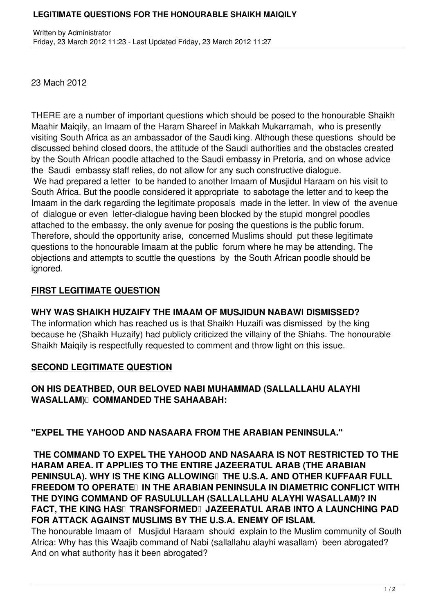### **LEGITIMATE QUESTIONS FOR THE HONOURABLE SHAIKH MAIQILY**

23 Mach 2012

THERE are a number of important questions which should be posed to the honourable Shaikh Maahir Maiqily, an Imaam of the Haram Shareef in Makkah Mukarramah, who is presently visiting South Africa as an ambassador of the Saudi king. Although these questions should be discussed behind closed doors, the attitude of the Saudi authorities and the obstacles created by the South African poodle attached to the Saudi embassy in Pretoria, and on whose advice the Saudi embassy staff relies, do not allow for any such constructive dialogue. We had prepared a letter to be handed to another Imaam of Musjidul Haraam on his visit to South Africa. But the poodle considered it appropriate to sabotage the letter and to keep the Imaam in the dark regarding the legitimate proposals made in the letter. In view of the avenue of dialogue or even letter-dialogue having been blocked by the stupid mongrel poodles attached to the embassy, the only avenue for posing the questions is the public forum. Therefore, should the opportunity arise, concerned Muslims should put these legitimate questions to the honourable Imaam at the public forum where he may be attending. The objections and attempts to scuttle the questions by the South African poodle should be ignored.

# **FIRST LEGITIMATE QUESTION**

## **WHY WAS SHAIKH HUZAIFY THE IMAAM OF MUSJIDUN NABAWI DISMISSED?**

The information which has reached us is that Shaikh Huzaifi was dismissed by the king because he (Shaikh Huzaify) had publicly criticized the villainy of the Shiahs. The honourable Shaikh Maiqily is respectfully requested to comment and throw light on this issue.

### **SECOND LEGITIMATE QUESTION**

# **ON HIS DEATHBED, OUR BELOVED NABI MUHAMMAD (SALLALLAHU ALAYHI WASALLAM) COMMANDED THE SAHAABAH:**

# **"EXPEL THE YAHOOD AND NASAARA FROM THE ARABIAN PENINSULA."**

 **THE COMMAND TO EXPEL THE YAHOOD AND NASAARA IS NOT RESTRICTED TO THE HARAM AREA. IT APPLIES TO THE ENTIRE JAZEERATUL ARAB (THE ARABIAN PENINSULA). WHY IS THE KING ALLOWING THE U.S.A. AND OTHER KUFFAAR FULL FREEDOM TO OPERATE IN THE ARABIAN PENINSULA IN DIAMETRIC CONFLICT WITH THE DYING COMMAND OF RASULULLAH (SALLALLAHU ALAYHI WASALLAM)? IN FACT, THE KING HAS TRANSFORMED JAZEERATUL ARAB INTO A LAUNCHING PAD FOR ATTACK AGAINST MUSLIMS BY THE U.S.A. ENEMY OF ISLAM.**

The honourable Imaam of Musjidul Haraam should explain to the Muslim community of South Africa: Why has this Waajib command of Nabi (sallallahu alayhi wasallam) been abrogated? And on what authority has it been abrogated?